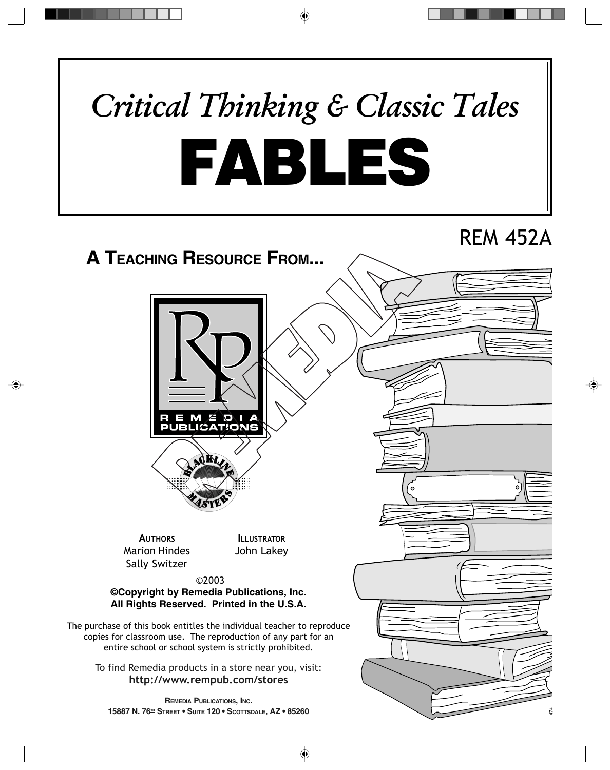# FABLES *Critical Thinking & Classic Tales*

## REM 452A

## **A TEACHING RESOURCE FROM...**





**AUTHORS** Marion Hindes Sally Switzer

**ILLUSTRATOR** John Lakey

©2003

**©Copyright by Remedia Publications, Inc. All Rights Reserved. Printed in the U.S.A.**

The purchase of this book entitles the individual teacher to reproduce copies for classroom use. The reproduction of any part for an entire school or school system is strictly prohibited.

To find Remedia products in a store near you, visit: **http://www.rempub.com/stores**

**REMEDIA PUBLICATIONS, INC. 15887 N. 76TH STREET • SUITE 120 • SCOTTSDALE, AZ • 85260**

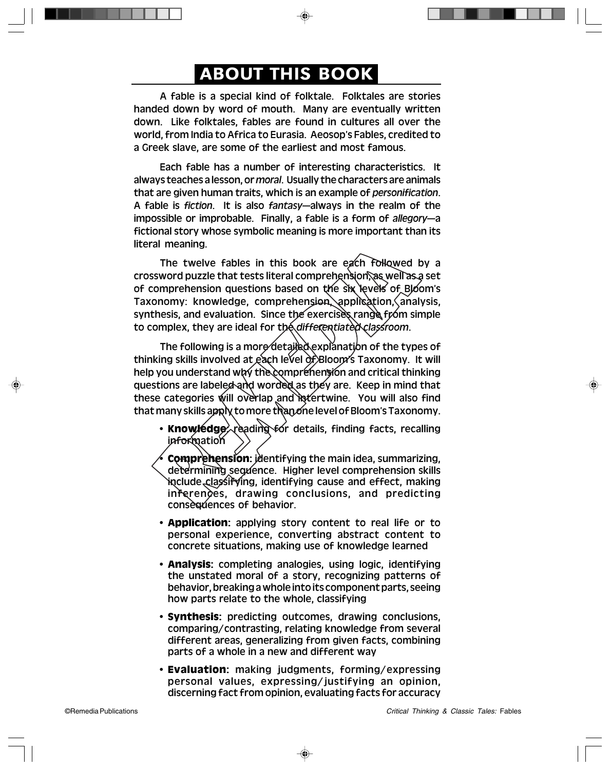### ABOUT THIS BOOK

A fable is a special kind of folktale. Folktales are stories handed down by word of mouth. Many are eventually written down. Like folktales, fables are found in cultures all over the world, from India to Africa to Eurasia. Aeosop's Fables, credited to a Greek slave, are some of the earliest and most famous.

Each fable has a number of interesting characteristics. It always teaches a lesson, or *moral*. Usually the characters are animals that are given human traits, which is an example of *personification*. A fable is *fiction*. It is also *fantasy*—always in the realm of the impossible or improbable. Finally, a fable is a form of *allegory*—a fictional story whose symbolic meaning is more important than its literal meaning.

The twelve fables in this book are each followed by a crossword puzzle that tests literal comprehension, as well as a set of comprehension questions based on the six levels of Bloom's Taxonomy: knowledge, comprehension, application, analysis, synthesis, and evaluation. Since the exercises range from simple to complex, they are ideal for the *differentiated classroom*.

The following is a more detailed explanation of the types of thinking skills involved at each level of Bloom's Taxonomy. It will help you understand why the comprehension and critical thinking questions are labeled and worded as they are. Keep in mind that these categories will overlap and intertwine. You will also find that many skills apply to more than one level of Bloom's Taxonomy.

- **Knowledge:** reading for details, finding facts, recalling information
- **Comprehension:** identifying the main idea, summarizing, determining sequence. Higher level comprehension skills include classifying, identifying cause and effect, making inferences, drawing conclusions, and predicting consequences of behavior.
- **Application:** applying story content to real life or to personal experience, converting abstract content to concrete situations, making use of knowledge learned
- **Analysis:** completing analogies, using logic, identifying the unstated moral of a story, recognizing patterns of behavior, breaking a whole into its component parts, seeing how parts relate to the whole, classifying
- **Synthesis:** predicting outcomes, drawing conclusions, comparing/contrasting, relating knowledge from several different areas, generalizing from given facts, combining parts of a whole in a new and different way
- **Evaluation:** making judgments, forming/expressing personal values, expressing/justifying an opinion, discerning fact from opinion, evaluating facts for accuracy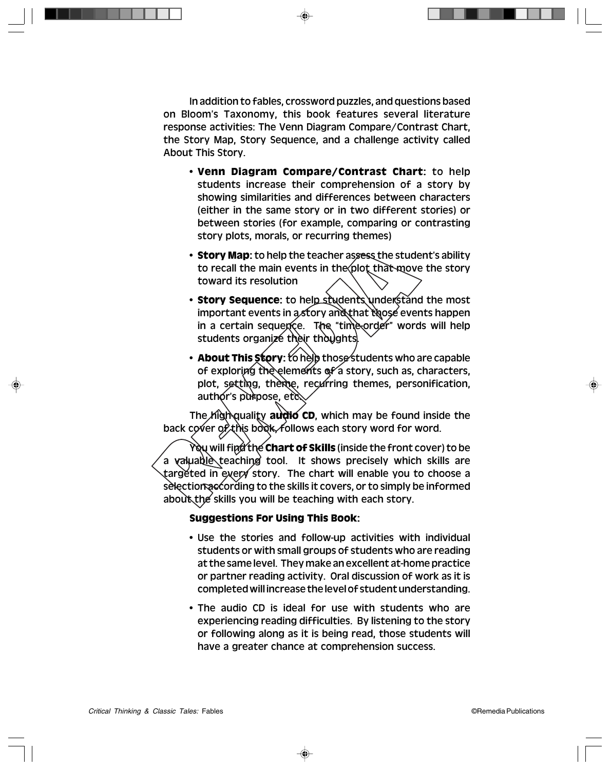In addition to fables, crossword puzzles, and questions based on Bloom's Taxonomy, this book features several literature response activities: The Venn Diagram Compare/Contrast Chart, the Story Map, Story Sequence, and a challenge activity called About This Story.

- **Venn Diagram Compare/Contrast Chart:** to help students increase their comprehension of a story by showing similarities and differences between characters (either in the same story or in two different stories) or between stories (for example, comparing or contrasting story plots, morals, or recurring themes)
- **Story Map:** to help the teacher assess the student's ability to recall the main events in the plot that move the story toward its resolution
- **Story Sequence:** to help students understand the most important events in a story and that those events happen in a certain sequence. The "time-order" words will help students organize their thoughts.
- **About This Story:** to help those students who are capable of exploring the elements of a story, such as, characters, plot, setting, theme, recurring themes, personification, author's purpose, etc.

The high-quality **audio CD**, which may be found inside the back cover of this book, follows each story word for word.

You will find the **Chart of Skills** (inside the front cover) to be a valuable teaching tool. It shows precisely which skills are targeted in every story. The chart will enable you to choose a selection according to the skills it covers, or to simply be informed about the skills you will be teaching with each story.

#### **Suggestions For Using This Book:**

- Use the stories and follow-up activities with individual students or with small groups of students who are reading at the same level. They make an excellent at-home practice or partner reading activity. Oral discussion of work as it is completed will increase the level of student understanding.
- The audio CD is ideal for use with students who are experiencing reading difficulties. By listening to the story or following along as it is being read, those students will have a greater chance at comprehension success.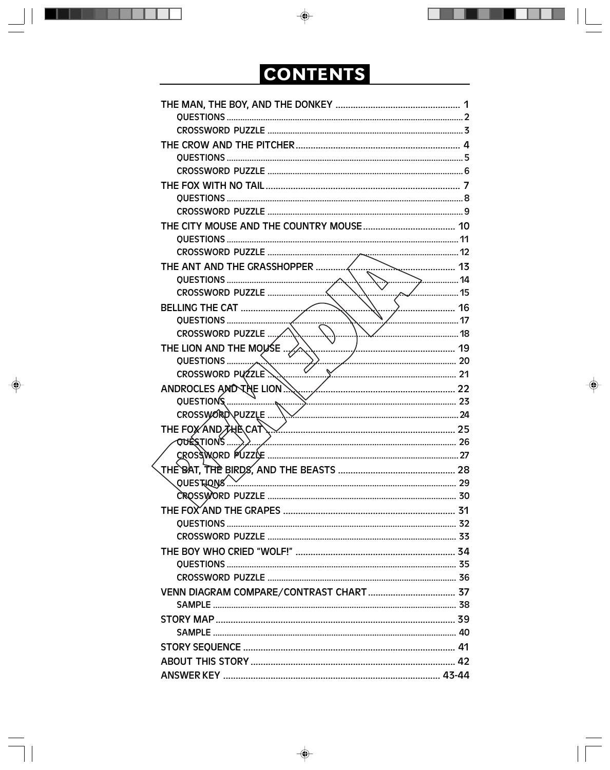## CONTENTS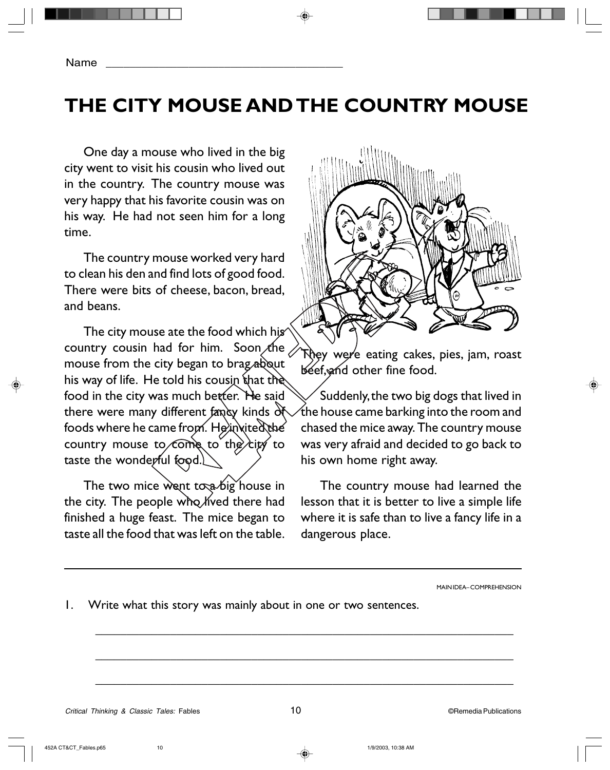## **THE CITY MOUSE AND THE COUNTRY MOUSE**

One day a mouse who lived in the big city went to visit his cousin who lived out in the country. The country mouse was very happy that his favorite cousin was on his way. He had not seen him for a long time.

The country mouse worked very hard to clean his den and find lots of good food. There were bits of cheese, bacon, bread, and beans.

The city mouse ate the food which his country cousin had for him. Soon the mouse from the city began to brag about his way of life. He told his cousin that the food in the city was much better. He said there were many different fancy kinds of foods where he came from. He invited the country mouse to come to the city to taste the wonderful food.

The two mice went to a big house in the city. The people who lived there had finished a huge feast. The mice began to taste all the food that was left on the table. They were eating cakes, pies, jam, roast beef, and other fine food.

Suddenly, the two big dogs that lived in the house came barking into the room and chased the mice away. The country mouse was very afraid and decided to go back to his own home right away.

The country mouse had learned the lesson that it is better to live a simple life where it is safe than to live a fancy life in a dangerous place.

MAIN IDEA– COMPREHENSION

1. Write what this story was mainly about in one or two sentences.

 $\overline{\phantom{a}}$  , and the contract of the contract of the contract of the contract of the contract of the contract of the contract of the contract of the contract of the contract of the contract of the contract of the contrac

 $\overline{\phantom{a}}$  , and the contract of the contract of the contract of the contract of the contract of the contract of the contract of the contract of the contract of the contract of the contract of the contract of the contrac

 $\overline{\phantom{a}}$  , and the contract of the contract of the contract of the contract of the contract of the contract of the contract of the contract of the contract of the contract of the contract of the contract of the contrac

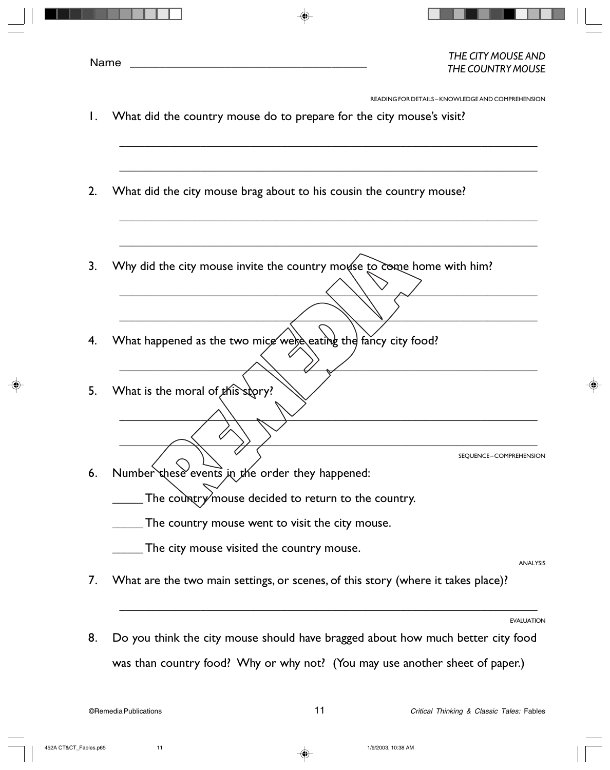READING FOR DETAILS – KNOWLEDGE AND COMPREHENSION

1. What did the country mouse do to prepare for the city mouse's visit?

 $\overline{\phantom{a}}$  , and the contract of the contract of the contract of the contract of the contract of the contract of the contract of the contract of the contract of the contract of the contract of the contract of the contrac

 $\overline{\phantom{a}}$  , and the contract of the contract of the contract of the contract of the contract of the contract of the contract of the contract of the contract of the contract of the contract of the contract of the contrac

 $\overline{\phantom{a}}$  , and the contract of the contract of the contract of the contract of the contract of the contract of the contract of the contract of the contract of the contract of the contract of the contract of the contrac

 $\overline{\phantom{a}}$  , and the contract of the contract of the contract of the contract of the contract of the contract of the contract of the contract of the contract of the contract of the contract of the contract of the contrac

 $\overline{\phantom{a}}$  , and the contract of the contract of the contract of the contract of the contract of the contract of the contract of the contract of the contract of the contract of the contract of the contract of the contrac

 $\overline{\phantom{a}}$  , and the contract of the contract of the contract of the contract of the contract of the contract of the contract of the contract of the contract of the contract of the contract of the contract of the contrac

 $\overline{\phantom{a}}$  , and the contract of the contract of the contract of the contract of the contract of the contract of the contract of the contract of the contract of the contract of the contract of the contract of the contrac

 $\overline{\phantom{a}}$  , and the contract of the contract of the contract of the contract of the contract of the contract of the contract of the contract of the contract of the contract of the contract of the contract of the contrac

 $\overline{\phantom{a}}$  , and the contract of the contract of the contract of the contract of the contract of the contract of the contract of the contract of the contract of the contract of the contract of the contract of the contrac

- 2. What did the city mouse brag about to his cousin the country mouse?
- 3. Why did the city mouse invite the country mouse to come home with him?
- 4. What happened as the two mice were eating the fancy city food?
- 5. What is the moral of this story?

SEQUENCE – COMPREHENSION

6. Number these events in the order they happened:

The country mouse decided to return to the country.

\_\_\_\_\_ The country mouse went to visit the city mouse.

**The city mouse visited the country mouse.** 

ANALYSIS

7. What are the two main settings, or scenes, of this story (where it takes place)?

EVALUATION

8. Do you think the city mouse should have bragged about how much better city food was than country food? Why or why not? (You may use another sheet of paper.)

 $\overline{\phantom{a}}$  , and the contract of the contract of the contract of the contract of the contract of the contract of the contract of the contract of the contract of the contract of the contract of the contract of the contrac